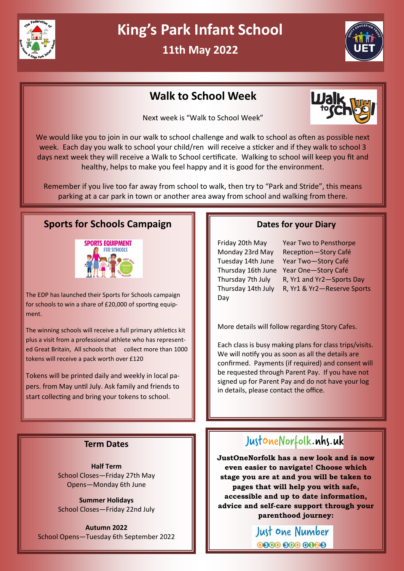

# **King's Park Infant School**

**11th May 2022**



### **Walk to School Week**

Next week is "Walk to School Week"



We would like you to join in our walk to school challenge and walk to school as often as possible next week. Each day you walk to school your child/ren will receive a sticker and if they walk to school 3 days next week they will receive a Walk to School certificate. Walking to school will keep you fit and healthy, helps to make you feel happy and it is good for the environment.

Remember if you live too far away from school to walk, then try to "Park and Stride", this means parking at a car park in town or another area away from school and walking from there.

### **Sports for Schools Campaign**



The EDP has launched their Sports for Schools campaign for schools to win a share of £20,000 of sporting equipment.

The winning schools will receive a full primary athletics kit plus a visit from a professional athlete who has represented Great Britain, All schools that collect more than 1000 tokens will receive a pack worth over £120

Tokens will be printed daily and weekly in local papers. from May until July. Ask family and friends to start collecting and bring your tokens to school.

### **Dates for your Diary**

Day

Friday 20th May Year Two to Pensthorpe Monday 23rd May Reception—Story Café Tuesday 14th June Year Two—Story Café Thursday 16th June Year One—Story Café Thursday 7th July R, Yr1 and Yr2—Sports Day Thursday 14th July R, Yr1 & Yr2—Reserve Sports

More details will follow regarding Story Cafes.

Each class is busy making plans for class trips/visits. We will notify you as soon as all the details are confirmed. Payments (if required) and consent will be requested through Parent Pay. If you have not signed up for Parent Pay and do not have your log in details, please contact the office.

### **Term Dates**

**Half Term** School Closes—Friday 27th May Opens—Monday 6th June

**Summer Holidays** School Closes—Friday 22nd July

**Autumn 2022** School Opens—Tuesday 6th September 2022

## JustoneNorfolk.nhs.uk

**JustOneNorfolk has a new look and is now even easier to navigate! Choose which stage you are at and you will be taken to pages that will help you with safe, accessible and up to date information, advice and self-care support through your parenthood journey:** 

> Just one Number 0000 000 0000